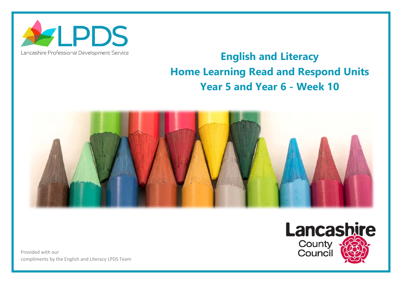

## Lancashire Professional Development Service

## **English and Literacy Home Learning Read and Respond Units Year 5 and Year 6 - Week 10**



Provided with our compliments by the English and Literacy LPDS Team

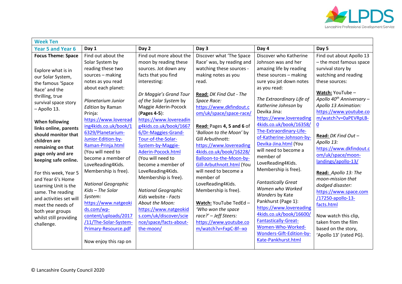

| <b>Week Ten</b>                                                                                                                                                                                                                                                                                                                                                                                                                                                                                                                         |                                                                                                                                                                                                                                                                                                                                                                                                                                                                                                                                                                                                     |                                                                                                                                                                                                                                                                                                                                                                                                                                                                                                                                                                                                                     |                                                                                                                                                                                                                                                                                                                                                                                                                                                                                                                                                                                                                             |                                                                                                                                                                                                                                                                                                                                                                                                                                                                                                                                                                                                                                                                                               |                                                                                                                                                                                                                                                                                                                                                                                                                                                                                                                                                                                                                       |  |  |  |
|-----------------------------------------------------------------------------------------------------------------------------------------------------------------------------------------------------------------------------------------------------------------------------------------------------------------------------------------------------------------------------------------------------------------------------------------------------------------------------------------------------------------------------------------|-----------------------------------------------------------------------------------------------------------------------------------------------------------------------------------------------------------------------------------------------------------------------------------------------------------------------------------------------------------------------------------------------------------------------------------------------------------------------------------------------------------------------------------------------------------------------------------------------------|---------------------------------------------------------------------------------------------------------------------------------------------------------------------------------------------------------------------------------------------------------------------------------------------------------------------------------------------------------------------------------------------------------------------------------------------------------------------------------------------------------------------------------------------------------------------------------------------------------------------|-----------------------------------------------------------------------------------------------------------------------------------------------------------------------------------------------------------------------------------------------------------------------------------------------------------------------------------------------------------------------------------------------------------------------------------------------------------------------------------------------------------------------------------------------------------------------------------------------------------------------------|-----------------------------------------------------------------------------------------------------------------------------------------------------------------------------------------------------------------------------------------------------------------------------------------------------------------------------------------------------------------------------------------------------------------------------------------------------------------------------------------------------------------------------------------------------------------------------------------------------------------------------------------------------------------------------------------------|-----------------------------------------------------------------------------------------------------------------------------------------------------------------------------------------------------------------------------------------------------------------------------------------------------------------------------------------------------------------------------------------------------------------------------------------------------------------------------------------------------------------------------------------------------------------------------------------------------------------------|--|--|--|
| <b>Year 5 and Year 6</b>                                                                                                                                                                                                                                                                                                                                                                                                                                                                                                                | Day 1                                                                                                                                                                                                                                                                                                                                                                                                                                                                                                                                                                                               | Day 2                                                                                                                                                                                                                                                                                                                                                                                                                                                                                                                                                                                                               | Day 3                                                                                                                                                                                                                                                                                                                                                                                                                                                                                                                                                                                                                       | Day 4                                                                                                                                                                                                                                                                                                                                                                                                                                                                                                                                                                                                                                                                                         | Day 5                                                                                                                                                                                                                                                                                                                                                                                                                                                                                                                                                                                                                 |  |  |  |
| <b>Focus Theme: Space</b><br>Explore what is in<br>our Solar System,<br>the famous 'Space<br>Race' and the<br>thrilling, true<br>survival space story<br>- Apollo 13.<br><b>When following</b><br>links online, parents<br>should monitor that<br>children are<br>remaining on that<br>page only and are<br>keeping safe online.<br>For this week, Year 5<br>and Year 6's Home<br>Learning Unit is the<br>same. The reading<br>and activities set will<br>meet the needs of<br>both year groups<br>whilst still providing<br>challenge. | Find out about the<br>Solar System by<br>reading these two<br>sources - making<br>notes as you read<br>about each planet:<br>Planetarium Junior<br><b>Edition by Raman</b><br>Prinja:<br>https://www.loveread<br>ing4kids.co.uk/book/1<br>6329/Planetarium-<br>Junior-Edition-by-<br>Raman-Prinja.html<br>(You will need to<br>become a member of<br>LoveReading4Kids.<br>Membership is free).<br><b>National Geographic</b><br>Kids - The Solar<br>System:<br>https://www.natgeoki<br>ds.com/wp-<br>content/uploads/2017<br>/11/The-Solar-System-<br>Primary-Resource.pdf<br>Now enjoy this rap on | Find out more about the<br>moon by reading these<br>sources. Jot down any<br>facts that you find<br>interesting:<br>Dr Maggie's Grand Tour<br>of the Solar System by<br>Maggie Aderin-Pocock<br>(Pages 4-5):<br>https://www.lovereadin<br>g4kids.co.uk/book/1667<br>6/Dr-Maggies-Grand-<br>Tour-of-the-Solar-<br>System-by-Maggie-<br>Aderin-Pocock.html<br>(You will need to<br>become a member of<br>LoveReading4Kids.<br>Membership is free).<br><b>National Geographic</b><br>Kids website - Facts<br>About the Moon:<br>https://www.natgeokid<br>s.com/uk/discover/scie<br>nce/space/facts-about-<br>the-moon/ | Discover what 'The Space<br>Race' was, by reading and<br>watching these sources -<br>making notes as you<br>read.<br>Read: DK Find Out - The<br>Space Race:<br>https://www.dkfindout.c<br>om/uk/space/space-race/<br>Read: Pages 4, 5 and 6 of<br>'Balloon to the Moon' by<br>Gill Arbuthnott:<br>https://www.lovereading<br>4kids.co.uk/book/16228/<br>Balloon-to-the-Moon-by-<br>Gill-Arbuthnott.html (You<br>will need to become a<br>member of<br>LoveReading4Kids.<br>Membership is free).<br>Watch: YouTube TedEd -<br>'Who won the space<br>race?' - Jeff Steers:<br>https://www.youtube.co<br>m/watch?v=FxpC-8f--xo | Discover who Katherine<br>Johnson was and her<br>amazing life by reading<br>these sources - making<br>sure you jot down notes<br>as you read:<br>The Extraordinary Life of<br>Katherine Johnson by<br>Devika Jina:<br>https://www.lovereading<br>4kids.co.uk/book/16358/<br>The-Extraordinary-Life-<br>of-Katherine-Johnson-by-<br>Devika-Jina.html (You<br>will need to become a<br>member of<br>LoveReading4Kids.<br>Membership is free).<br><b>Fantastically Great</b><br>Women who Worked<br>Wonders by Kate<br>Pankhurst (Page 1):<br>https://www.lovereading<br>4kids.co.uk/book/16600/<br>Fantastically-Great-<br>Women-Who-Worked-<br>Wonders-Gift-Edition-by-<br>Kate-Pankhurst.html | Find out about Apollo 13<br>- the most famous space<br>survival story by<br>watching and reading<br>these sources:<br>Watch: YouTube -<br>Apollo 40 <sup>th</sup> Anniversary -<br>Apollo 13 Animation:<br>https://www.youtube.co<br>m/watch?v=0aPEVRpLB-<br>$\overline{0}$<br>Read: DK Find Out -<br>Apollo 13:<br>https://www.dkfindout.c<br>om/uk/space/moon-<br>landings/apollo-13/<br>Read: Apollo 13: The<br>moon-mission that<br>dodged disaster:<br>https://www.space.com<br>/17250-apollo-13-<br>facts.html<br>Now watch this clip,<br>taken from the film<br>based on the story,<br>'Apollo 13' (rated PG). |  |  |  |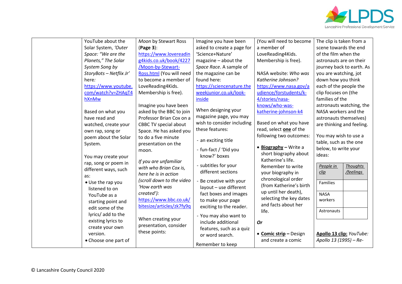

| YouTube about the       | Moon by Stewart Ross         | Imagine you have been      | (You will need to become      | The clip is taken from a     |
|-------------------------|------------------------------|----------------------------|-------------------------------|------------------------------|
| Solar System, 'Outer    | (Page 3):                    | asked to create a page for | a member of                   | scene towards the end        |
| Space: "We are the      | https://www.lovereadin       | 'Science+Nature'           | LoveReading4Kids.             | of the film when the         |
| Planets," The Solar     | g4kids.co.uk/book/4227       | magazine - about the       | Membership is free).          | astronauts are on their      |
| System Song by          | /Moon-by-Stewart-            | Space Race. A sample of    |                               | journey back to earth. As    |
| StoryBots - Netflix Jr' | Ross.html (You will need     | the magazine can be        | NASA website: Who was         | you are watching, jot        |
| here:                   | to become a member of        | found here:                | Katherine Johnson?            | down how you think           |
| https://www.youtube.    | LoveReading4Kids.            | https://sciencenature.the  | https://www.nasa.gov/a        | each of the people the       |
| com/watch?v=ZHAqT4      | Membership is free).         | weekjunior.co.uk/look-     | udience/forstudents/k-        | clip focuses on (the         |
| hXnMw                   |                              | inside                     | 4/stories/nasa-               | families of the              |
|                         | Imagine you have been        |                            | knows/who-was-                | astronauts watching, the     |
| Based on what you       | asked by the BBC to join     | When designing your        | katherine-johnson-k4          | NASA workers and the         |
| have read and           | Professor Brian Cox on a     | magazine page, you may     |                               | astronauts themselves)       |
| watched, create your    | <b>CBBC TV special about</b> | wish to consider including | Based on what you have        | are thinking and feeling.    |
| own rap, song or        | Space. He has asked you      | these features:            | read, select one of the       |                              |
| poem about the Solar    | to do a five minute          |                            | following two outcomes:       | You may wish to use a        |
| System.                 | presentation on the          | - an exciting title        |                               | table, such as the one       |
|                         | moon.                        | - fun-fact / 'Did you      | $\bullet$ Biography - Write a | below, to write your         |
| You may create your     |                              | know?' boxes               | short biography about         | ideas:                       |
| rap, song or poem in    | If you are unfamiliar        | - subtitles for your       | Katherine's life.             |                              |
| different ways, such    | with who Brian Cox is,       | different sections         | Remember to write             | <b>Thoughts</b><br>People in |
| as:                     | here he is in action         |                            | your biography in             | /feelings<br>clip            |
| • Use the rap you       | (scroll down to the video    | - Be creative with your    | chronological order           | Families                     |
| listened to on          | 'How earth was               | layout - use different     | (from Katherine's birth       |                              |
| YouTube as a            | created'):                   | fact boxes and images      | up until her death),          | <b>NASA</b>                  |
| starting point and      | https://www.bbc.co.uk/       | to make your page          | selecting the key dates       | workers                      |
| edit some of the        | bitesize/articles/zk7fy9q    | exciting to the reader.    | and facts about her           |                              |
| lyrics/ add to the      |                              | - You may also want to     | life.                         | Astronauts                   |
| existing lyrics to      | When creating your           | include additional         | <b>Or</b>                     |                              |
| create your own         | presentation, consider       | features, such as a quiz   |                               |                              |
| version.                | these points:                | or word search.            | • Comic strip - Design        | Apollo 13 clip: YouTube:     |
| • Choose one part of    |                              |                            | and create a comic            | Apollo 13 (1995) - Re-       |
|                         |                              | Remember to keep           |                               |                              |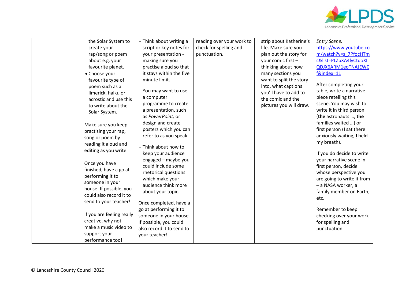

|  | the Solar System to                                         | - Think about writing a   | reading over your work to | strip about Katherine's | <b>Entry Scene:</b>        |
|--|-------------------------------------------------------------|---------------------------|---------------------------|-------------------------|----------------------------|
|  | create your                                                 | script or key notes for   | check for spelling and    | life. Make sure you     | https://www.youtube.co     |
|  | rap/song or poem                                            | your presentation -       | punctuation.              | plan out the story for  | m/watch?v=s 7PfocHTm       |
|  | about e.g. your                                             | making sure you           |                           | your comic first -      | c&list=PLZbXA4lyCtgoXl     |
|  | favourite planet.                                           | practise aloud so that    |                           | thinking about how      | QDJX6ARM1eoTNAJEWC         |
|  | • Choose your                                               | it stays within the five  |                           | many sections you       | f&index=11                 |
|  | favourite type of                                           | minute limit.             |                           | want to split the story |                            |
|  | poem such as a                                              |                           |                           | into, what captions     | After completing your      |
|  | limerick, haiku or                                          | - You may want to use     |                           | you'll have to add to   | table, write a narrative   |
|  | acrostic and use this                                       | a computer                |                           | the comic and the       | piece retelling this       |
|  | to write about the                                          | programme to create       |                           | pictures you will draw. | scene. You may wish to     |
|  | Solar System.                                               | a presentation, such      |                           |                         | write it in third person   |
|  |                                                             | as PowerPoint, or         |                           |                         | (the astronauts , the      |
|  | Make sure you keep                                          | design and create         |                           |                         | families waited ) or       |
|  | practising your rap,                                        | posters which you can     |                           |                         | first person (I sat there  |
|  | song or poem by                                             | refer to as you speak.    |                           |                         | anxiously waiting, I held  |
|  | reading it aloud and                                        |                           |                           |                         | my breath).                |
|  | editing as you write.                                       | - Think about how to      |                           |                         |                            |
|  |                                                             | keep your audience        |                           |                         | If you do decide to write  |
|  | Once you have<br>finished, have a go at<br>performing it to | engaged - maybe you       |                           |                         | your narrative scene in    |
|  |                                                             | could include some        |                           |                         | first person, decide       |
|  |                                                             | rhetorical questions      |                           |                         | whose perspective you      |
|  | someone in your                                             | which make your           |                           |                         | are going to write it from |
|  | house. If possible, you                                     | audience think more       |                           |                         | - a NASA worker, a         |
|  | could also record it to                                     | about your topic.         |                           |                         | family member on Earth,    |
|  |                                                             |                           |                           |                         | etc.                       |
|  | send to your teacher!                                       | Once completed, have a    |                           |                         |                            |
|  |                                                             | go at performing it to    |                           |                         | Remember to keep           |
|  | If you are feeling really                                   | someone in your house.    |                           |                         | checking over your work    |
|  | creative, why not                                           | If possible, you could    |                           |                         | for spelling and           |
|  | make a music video to                                       | also record it to send to |                           |                         | punctuation.               |
|  | support your                                                | your teacher!             |                           |                         |                            |
|  | performance too!                                            |                           |                           |                         |                            |